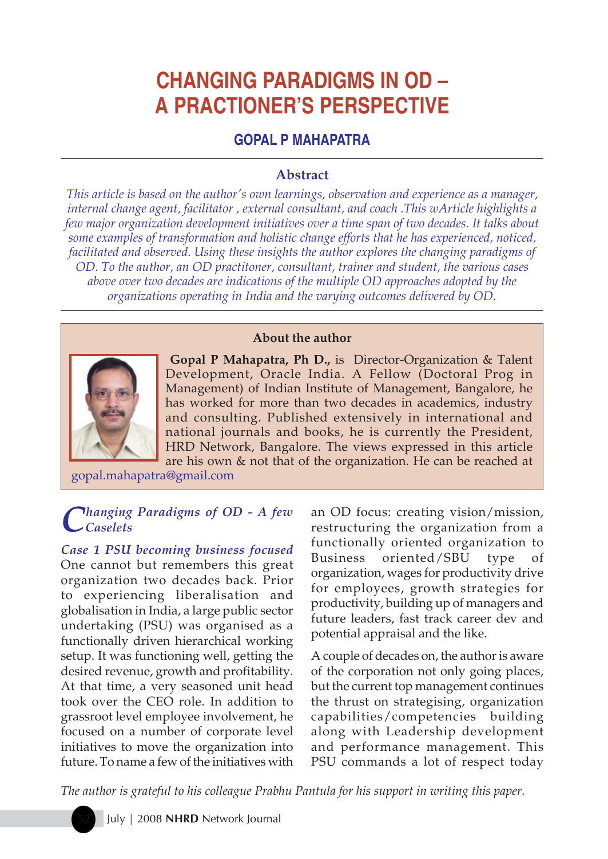# **CHANGING PARADIGMS IN OD – A PRACTIONER'S PERSPECTIVE**

# **GOPAL P MAHAPATRA**

## **Abstract**

*This article is based on the author's own learnings, observation and experience as a manager, internal change agent, facilitator , external consultant, and coach .This wArticle highlights a few major organization development initiatives over a time span of two decades. It talks about some examples of transformation and holistic change efforts that he has experienced, noticed, facilitated and observed. Using these insights the author explores the changing paradigms of OD. To the author, an OD practitoner, consultant, trainer and student, the various cases above over two decades are indications of the multiple OD approaches adopted by the organizations operating in India and the varying outcomes delivered by OD.*





**Gopal P Mahapatra, Ph D.,** is Director-Organization & Talent Development, Oracle India. A Fellow (Doctoral Prog in Management) of Indian Institute of Management, Bangalore, he has worked for more than two decades in academics, industry and consulting. Published extensively in international and national journals and books, he is currently the President, HRD Network, Bangalore. The views expressed in this article are his own & not that of the organization. He can be reached at

gopal.mahapatra@gmail.com

#### *C hanging Paradigms of OD - A few Caselets*

*Case 1 PSU becoming business focused* One cannot but remembers this great organization two decades back. Prior to experiencing liberalisation and globalisation in India, a large public sector undertaking (PSU) was organised as a functionally driven hierarchical working setup. It was functioning well, getting the desired revenue, growth and profitability. At that time, a very seasoned unit head took over the CEO role. In addition to grassroot level employee involvement, he focused on a number of corporate level initiatives to move the organization into future. To name a few of the initiatives with

an OD focus: creating vision/mission, restructuring the organization from a functionally oriented organization to Business oriented/SBU type of organization, wages for productivity drive for employees, growth strategies for productivity, building up of managers and future leaders, fast track career dev and potential appraisal and the like.

A couple of decades on, the author is aware of the corporation not only going places, but the current top management continues the thrust on strategising, organization capabilities/competencies building along with Leadership development and performance management. This PSU commands a lot of respect today

*The author is grateful to his colleague Prabhu Pantula for his support in writing this paper.*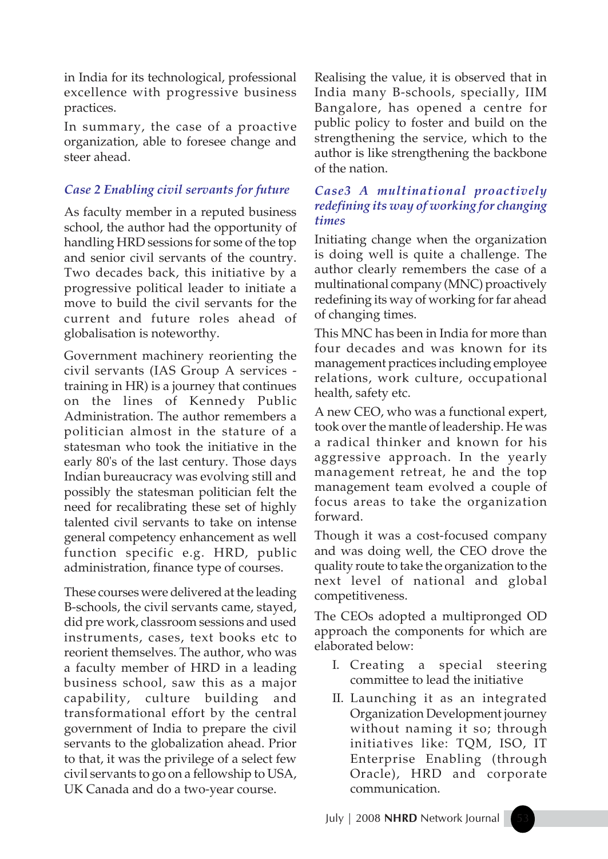in India for its technological, professional excellence with progressive business practices.

In summary, the case of a proactive organization, able to foresee change and steer ahead.

# *Case 2 Enabling civil servants for future*

As faculty member in a reputed business school, the author had the opportunity of handling HRD sessions for some of the top and senior civil servants of the country. Two decades back, this initiative by a progressive political leader to initiate a move to build the civil servants for the current and future roles ahead of globalisation is noteworthy.

Government machinery reorienting the civil servants (IAS Group A services training in HR) is a journey that continues on the lines of Kennedy Public Administration. The author remembers a politician almost in the stature of a statesman who took the initiative in the early 80's of the last century. Those days Indian bureaucracy was evolving still and possibly the statesman politician felt the need for recalibrating these set of highly talented civil servants to take on intense general competency enhancement as well function specific e.g. HRD, public administration, finance type of courses.

These courses were delivered at the leading B-schools, the civil servants came, stayed, did pre work, classroom sessions and used instruments, cases, text books etc to reorient themselves. The author, who was a faculty member of HRD in a leading business school, saw this as a major capability, culture building and transformational effort by the central government of India to prepare the civil servants to the globalization ahead. Prior to that, it was the privilege of a select few civil servants to go on a fellowship to USA, UK Canada and do a two-year course.

Realising the value, it is observed that in India many B-schools, specially, IIM Bangalore, has opened a centre for public policy to foster and build on the strengthening the service, which to the author is like strengthening the backbone of the nation.

## *Case3 A multinational proactively redefining its way of working for changing times*

Initiating change when the organization is doing well is quite a challenge. The author clearly remembers the case of a multinational company (MNC) proactively redefining its way of working for far ahead of changing times.

This MNC has been in India for more than four decades and was known for its management practices including employee relations, work culture, occupational health, safety etc.

A new CEO, who was a functional expert, took over the mantle of leadership. He was a radical thinker and known for his aggressive approach. In the yearly management retreat, he and the top management team evolved a couple of focus areas to take the organization forward.

Though it was a cost-focused company and was doing well, the CEO drove the quality route to take the organization to the next level of national and global competitiveness.

The CEOs adopted a multipronged OD approach the components for which are elaborated below:

- I. Creating a special steering committee to lead the initiative
- II. Launching it as an integrated Organization Development journey without naming it so; through initiatives like: TQM, ISO, IT Enterprise Enabling (through Oracle), HRD and corporate communication.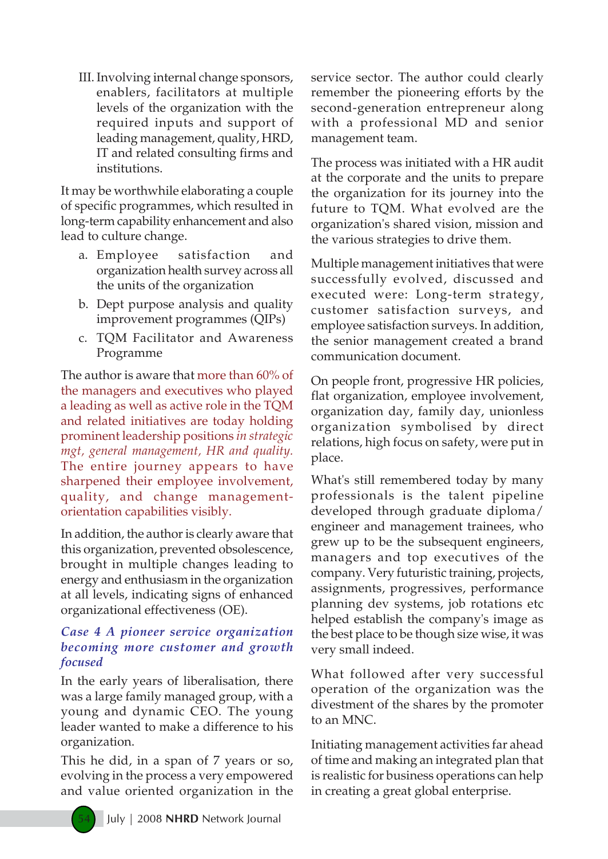III. Involving internal change sponsors, enablers, facilitators at multiple levels of the organization with the required inputs and support of leading management, quality, HRD, IT and related consulting firms and institutions.

It may be worthwhile elaborating a couple of specific programmes, which resulted in long-term capability enhancement and also lead to culture change.

- a. Employee satisfaction and organization health survey across all the units of the organization
- b. Dept purpose analysis and quality improvement programmes (QIPs)
- c. TQM Facilitator and Awareness Programme

The author is aware that more than 60% of the managers and executives who played a leading as well as active role in the TQM and related initiatives are today holding prominent leadership positions *in strategic mgt, general management, HR and quality.* The entire journey appears to have sharpened their employee involvement, quality, and change managementorientation capabilities visibly.

In addition, the author is clearly aware that this organization, prevented obsolescence, brought in multiple changes leading to energy and enthusiasm in the organization at all levels, indicating signs of enhanced organizational effectiveness (OE).

#### *Case 4 A pioneer service organization becoming more customer and growth focused*

In the early years of liberalisation, there was a large family managed group, with a young and dynamic CEO. The young leader wanted to make a difference to his organization.

This he did, in a span of 7 years or so, evolving in the process a very empowered and value oriented organization in the service sector. The author could clearly remember the pioneering efforts by the second-generation entrepreneur along with a professional MD and senior management team.

The process was initiated with a HR audit at the corporate and the units to prepare the organization for its journey into the future to TQM. What evolved are the organization's shared vision, mission and the various strategies to drive them.

Multiple management initiatives that were successfully evolved, discussed and executed were: Long-term strategy, customer satisfaction surveys, and employee satisfaction surveys. In addition, the senior management created a brand communication document.

On people front, progressive HR policies, flat organization, employee involvement, organization day, family day, unionless organization symbolised by direct relations, high focus on safety, were put in place.

What's still remembered today by many professionals is the talent pipeline developed through graduate diploma/ engineer and management trainees, who grew up to be the subsequent engineers, managers and top executives of the company. Very futuristic training, projects, assignments, progressives, performance planning dev systems, job rotations etc helped establish the company's image as the best place to be though size wise, it was very small indeed.

What followed after very successful operation of the organization was the divestment of the shares by the promoter to an MNC.

Initiating management activities far ahead of time and making an integrated plan that is realistic for business operations can help in creating a great global enterprise.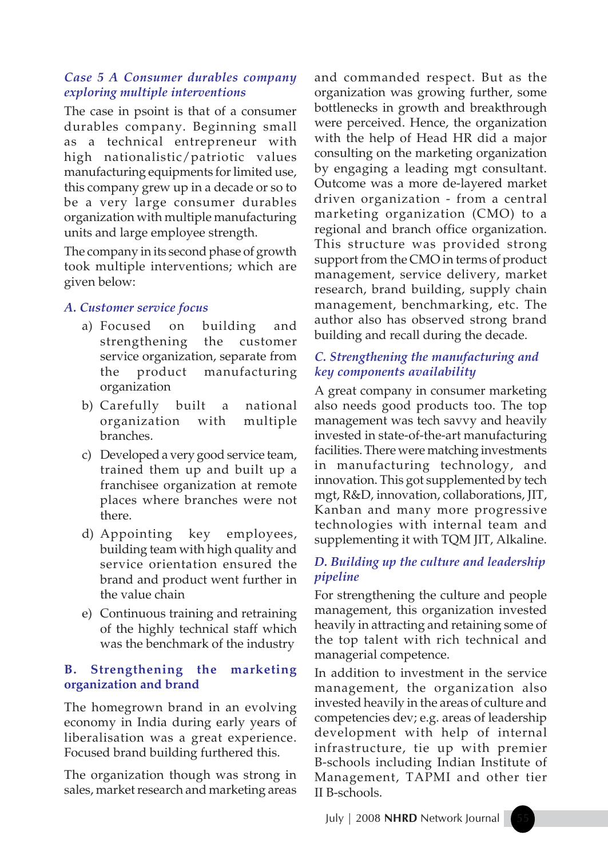#### *Case 5 A Consumer durables company exploring multiple interventions*

The case in psoint is that of a consumer durables company. Beginning small as a technical entrepreneur with high nationalistic/patriotic values manufacturing equipments for limited use, this company grew up in a decade or so to be a very large consumer durables organization with multiple manufacturing units and large employee strength.

The company in its second phase of growth took multiple interventions; which are given below:

## *A. Customer service focus*

- a) Focused on building and strengthening the customer service organization, separate from the product manufacturing organization
- b) Carefully built a national organization with multiple branches.
- c) Developed a very good service team, trained them up and built up a franchisee organization at remote places where branches were not there.
- d) Appointing key employees, building team with high quality and service orientation ensured the brand and product went further in the value chain
- e) Continuous training and retraining of the highly technical staff which was the benchmark of the industry

## **B. Strengthening the marketing organization and brand**

The homegrown brand in an evolving economy in India during early years of liberalisation was a great experience. Focused brand building furthered this.

The organization though was strong in sales, market research and marketing areas and commanded respect. But as the organization was growing further, some bottlenecks in growth and breakthrough were perceived. Hence, the organization with the help of Head HR did a major consulting on the marketing organization by engaging a leading mgt consultant. Outcome was a more de-layered market driven organization - from a central marketing organization (CMO) to a regional and branch office organization. This structure was provided strong support from the CMO in terms of product management, service delivery, market research, brand building, supply chain management, benchmarking, etc. The author also has observed strong brand building and recall during the decade.

# *C. Strengthening the manufacturing and key components availability*

A great company in consumer marketing also needs good products too. The top management was tech savvy and heavily invested in state-of-the-art manufacturing facilities. There were matching investments in manufacturing technology, and innovation. This got supplemented by tech mgt, R&D, innovation, collaborations, JIT, Kanban and many more progressive technologies with internal team and supplementing it with TQM JIT, Alkaline.

# *D. Building up the culture and leadership pipeline*

For strengthening the culture and people management, this organization invested heavily in attracting and retaining some of the top talent with rich technical and managerial competence.

In addition to investment in the service management, the organization also invested heavily in the areas of culture and competencies dev; e.g. areas of leadership development with help of internal infrastructure, tie up with premier B-schools including Indian Institute of Management, TAPMI and other tier II B-schools.

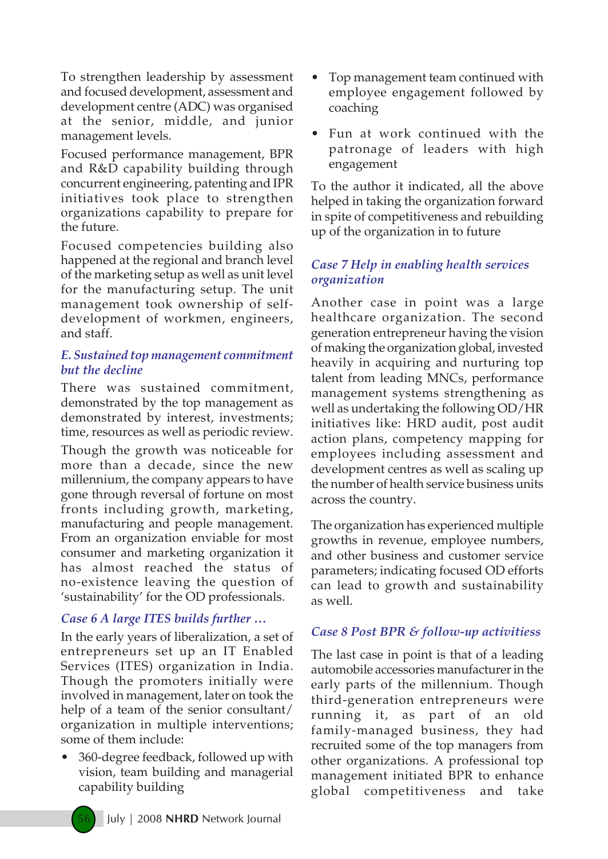To strengthen leadership by assessment and focused development, assessment and development centre (ADC) was organised at the senior, middle, and junior management levels.

Focused performance management, BPR and R&D capability building through concurrent engineering, patenting and IPR initiatives took place to strengthen organizations capability to prepare for the future.

Focused competencies building also happened at the regional and branch level of the marketing setup as well as unit level for the manufacturing setup. The unit management took ownership of selfdevelopment of workmen, engineers, and staff.

#### *E. Sustained top management commitment but the decline*

There was sustained commitment, demonstrated by the top management as demonstrated by interest, investments; time, resources as well as periodic review.

Though the growth was noticeable for more than a decade, since the new millennium, the company appears to have gone through reversal of fortune on most fronts including growth, marketing, manufacturing and people management. From an organization enviable for most consumer and marketing organization it has almost reached the status of no-existence leaving the question of 'sustainability' for the OD professionals.

## *Case 6 A large ITES builds further …*

In the early years of liberalization, a set of entrepreneurs set up an IT Enabled Services (ITES) organization in India. Though the promoters initially were involved in management, later on took the help of a team of the senior consultant/ organization in multiple interventions; some of them include:

**ï** 360-degree feedback, followed up with vision, team building and managerial capability building

- **ï** Top management team continued with employee engagement followed by coaching
- Fun at work continued with the patronage of leaders with high engagement

To the author it indicated, all the above helped in taking the organization forward in spite of competitiveness and rebuilding up of the organization in to future

## *Case 7 Help in enabling health services organization*

Another case in point was a large healthcare organization. The second generation entrepreneur having the vision of making the organization global, invested heavily in acquiring and nurturing top talent from leading MNCs, performance management systems strengthening as well as undertaking the following OD/HR initiatives like: HRD audit, post audit action plans, competency mapping for employees including assessment and development centres as well as scaling up the number of health service business units across the country.

The organization has experienced multiple growths in revenue, employee numbers, and other business and customer service parameters; indicating focused OD efforts can lead to growth and sustainability as well.

#### *Case 8 Post BPR & follow-up activitiess*

The last case in point is that of a leading automobile accessories manufacturer in the early parts of the millennium. Though third-generation entrepreneurs were running it, as part of an old family-managed business, they had recruited some of the top managers from other organizations. A professional top management initiated BPR to enhance global competitiveness and take